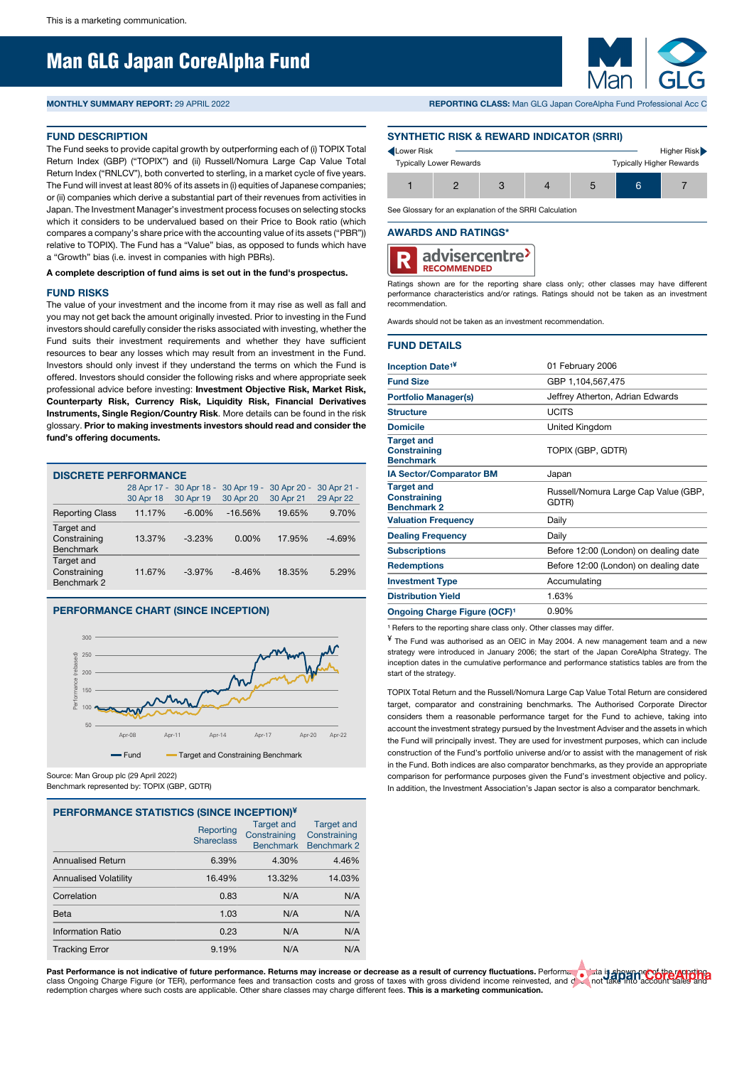# Man GLG Japan CoreAlpha Fund

# **FUND DESCRIPTION**

The Fund seeks to provide capital growth by outperforming each of (i) TOPIX Total Return Index (GBP) ("TOPIX") and (ii) Russell/Nomura Large Cap Value Total Return Index ("RNLCV"), both converted to sterling, in a market cycle of five years. The Fund will invest at least 80% of its assets in (i) equities of Japanese companies; or (ii) companies which derive a substantial part of their revenues from activities in Japan. The Investment Manager's investment process focuses on selecting stocks which it considers to be undervalued based on their Price to Book ratio (which compares a company's share price with the accounting value of its assets ("PBR")) relative to TOPIX). The Fund has a "Value" bias, as opposed to funds which have a "Growth" bias (i.e. invest in companies with high PBRs).

## **A complete description of fund aims is set out in the fund's prospectus.**

# **FUND RISKS**

The value of your investment and the income from it may rise as well as fall and you may not get back the amount originally invested. Prior to investing in the Fund investors should carefully consider the risks associated with investing, whether the Fund suits their investment requirements and whether they have sufficient resources to bear any losses which may result from an investment in the Fund. Investors should only invest if they understand the terms on which the Fund is offered. Investors should consider the following risks and where appropriate seek professional advice before investing: **Investment Objective Risk, Market Risk, Counterparty Risk, Currency Risk, Liquidity Risk, Financial Derivatives Instruments, Single Region/Country Risk**. More details can be found in the risk glossary. **Prior to making investments investors should read and consider the fund's offering documents.**

| <b>DISCRETE PERFORMANCE</b>                    |           |                                      |                          |                             |                          |  |  |  |  |
|------------------------------------------------|-----------|--------------------------------------|--------------------------|-----------------------------|--------------------------|--|--|--|--|
|                                                | 30 Apr 18 | 28 Apr 17 - 30 Apr 18 -<br>30 Apr 19 | 30 Apr 19 -<br>30 Apr 20 | 30 Apr 20<br>٠<br>30 Apr 21 | 30 Apr 21 -<br>29 Apr 22 |  |  |  |  |
| <b>Reporting Class</b>                         | 11.17%    | $-6.00\%$                            | $-16.56%$                | 19.65%                      | 9.70%                    |  |  |  |  |
| Target and<br>Constraining<br><b>Benchmark</b> | 13.37%    | $-3.23%$                             | $0.00\%$                 | 17.95%                      | $-4.69%$                 |  |  |  |  |
| Target and<br>Constraining<br>Benchmark 2      | 11.67%    | $-3.97%$                             | $-8.46%$                 | 18.35%                      | 5.29%                    |  |  |  |  |

# **PERFORMANCE CHART (SINCE INCEPTION)**



Source: Man Group plc (29 April 2022)

# Benchmark represented by: TOPIX (GBP, GDTR)

| PERFORMANCE STATISTICS (SINCE INCEPTION)¥ |                                |                                                       |                                                  |  |  |  |  |  |
|-------------------------------------------|--------------------------------|-------------------------------------------------------|--------------------------------------------------|--|--|--|--|--|
|                                           | Reporting<br><b>Shareclass</b> | <b>Target and</b><br>Constraining<br><b>Benchmark</b> | <b>Target and</b><br>Constraining<br>Benchmark 2 |  |  |  |  |  |
| <b>Annualised Return</b>                  | 6.39%                          | 4.30%                                                 | 4.46%                                            |  |  |  |  |  |
| <b>Annualised Volatility</b>              | 16.49%                         | 13.32%                                                | 14.03%                                           |  |  |  |  |  |
| Correlation                               | 0.83                           | N/A                                                   | N/A                                              |  |  |  |  |  |
| Beta                                      | 1.03                           | N/A                                                   | N/A                                              |  |  |  |  |  |
| Information Ratio                         | 0.23                           | N/A                                                   | N/A                                              |  |  |  |  |  |
| <b>Tracking Error</b>                     | 9.19%                          | N/A                                                   | N/A                                              |  |  |  |  |  |

# **MONTHLY SUMMARY REPORT:** 29 APRIL 2022 **REPORTING CLASS:** Man GLG Japan CoreAlpha Fund Professional Acc C

# **SYNTHETIC RISK & REWARD INDICATOR (SRRI)**

| Lower Risk |                                |  |                                 | Higher Risk |
|------------|--------------------------------|--|---------------------------------|-------------|
|            | <b>Typically Lower Rewards</b> |  | <b>Typically Higher Rewards</b> |             |
|            |                                |  | 6                               |             |

See Glossary for an explanation of the SRRI Calculation

#### **AWARDS AND RATINGS\***



Ratings shown are for the reporting share class only; other classes may have different performance characteristics and/or ratings. Ratings should not be taken as an investment recommendation.

Awards should not be taken as an investment recommendation.

## **FUND DETAILS**

|                                                                | 01 February 2006                              |
|----------------------------------------------------------------|-----------------------------------------------|
| <b>Inception Date<sup>1¥</sup></b>                             |                                               |
| <b>Fund Size</b>                                               | GBP 1,104,567,475                             |
| <b>Portfolio Manager(s)</b>                                    | Jeffrey Atherton, Adrian Edwards              |
| <b>Structure</b>                                               | LICITS                                        |
| <b>Domicile</b>                                                | United Kingdom                                |
| <b>Target and</b><br><b>Constraining</b><br><b>Benchmark</b>   | TOPIX (GBP, GDTR)                             |
| <b>IA Sector/Comparator BM</b>                                 | Japan                                         |
| <b>Target and</b><br><b>Constraining</b><br><b>Benchmark 2</b> | Russell/Nomura Large Cap Value (GBP,<br>GDTR) |
| <b>Valuation Frequency</b>                                     | Daily                                         |
| <b>Dealing Frequency</b>                                       | Daily                                         |
| <b>Subscriptions</b>                                           | Before 12:00 (London) on dealing date         |
| <b>Redemptions</b>                                             | Before 12:00 (London) on dealing date         |
| <b>Investment Type</b>                                         | Accumulating                                  |
| <b>Distribution Yield</b>                                      | 1.63%                                         |
| Ongoing Charge Figure (OCF) <sup>1</sup>                       | 0.90%                                         |
|                                                                |                                               |

<sup>1</sup> Refers to the reporting share class only. Other classes may differ.

¥ The Fund was authorised as an OEIC in May 2004. A new management team and a new strategy were introduced in January 2006; the start of the Japan CoreAlpha Strategy. The inception dates in the cumulative performance and performance statistics tables are from the start of the strategy.

TOPIX Total Return and the Russell/Nomura Large Cap Value Total Return are considered target, comparator and constraining benchmarks. The Authorised Corporate Director considers them a reasonable performance target for the Fund to achieve, taking into account the investment strategy pursued by the Investment Adviser and the assets in which the Fund will principally invest. They are used for investment purposes, which can include construction of the Fund's portfolio universe and/or to assist with the management of risk in the Fund. Both indices are also comparator benchmarks, as they provide an appropriate comparison for performance purposes given the Fund's investment objective and policy. In addition, the Investment Association's Japan sector is also a comparator benchmark

Past Performance is not indicative of future performance. Returns may increase or decrease as a result of currency fluctuations. Performance is not indicative of the returns of the principle income reinvested, and come rei redemption charges where such costs are applicable. Other share classes may charge different fees. **This is a marketing communication.**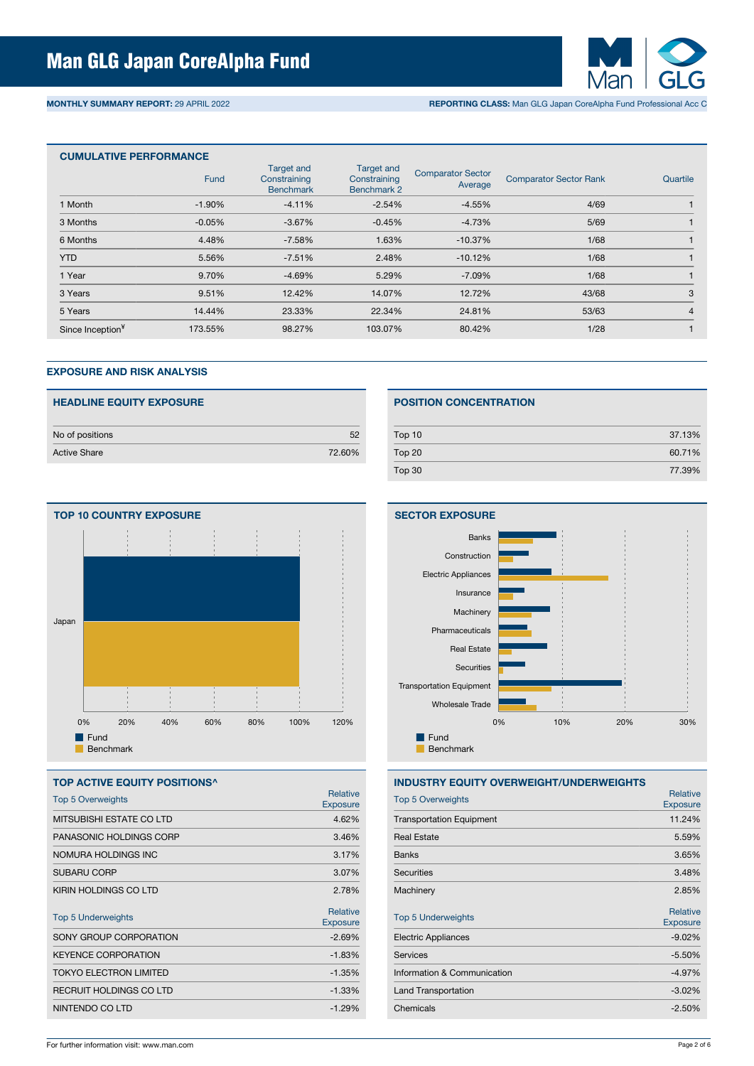

**MONTHLY SUMMARY REPORT:** 29 APRIL 2022 **REPORTING CLASS:** Man GLG Japan CoreAlpha Fund Professional Acc C

| <b>CUMULATIVE PERFORMANCE</b> |             |          |                                                  |                                     |                               |                |  |  |  |
|-------------------------------|-------------|----------|--------------------------------------------------|-------------------------------------|-------------------------------|----------------|--|--|--|
|                               | <b>Fund</b> |          | <b>Target and</b><br>Constraining<br>Benchmark 2 | <b>Comparator Sector</b><br>Average | <b>Comparator Sector Rank</b> | Quartile       |  |  |  |
| 1 Month                       | $-1.90\%$   | $-4.11%$ | $-2.54%$                                         | $-4.55%$                            | 4/69                          |                |  |  |  |
| 3 Months                      | $-0.05%$    | $-3.67%$ | $-0.45%$                                         | $-4.73%$                            | 5/69                          |                |  |  |  |
| 6 Months                      | 4.48%       | $-7.58%$ | 1.63%                                            | $-10.37%$                           | 1/68                          |                |  |  |  |
| <b>YTD</b>                    | 5.56%       | $-7.51%$ | 2.48%                                            | $-10.12%$                           | 1/68                          |                |  |  |  |
| 1 Year                        | 9.70%       | $-4.69%$ | 5.29%                                            | $-7.09%$                            | 1/68                          |                |  |  |  |
| 3 Years                       | 9.51%       | 12.42%   | 14.07%                                           | 12.72%                              | 43/68                         | 3              |  |  |  |
| 5 Years                       | 14.44%      | 23.33%   | 22.34%                                           | 24.81%                              | 53/63                         | $\overline{4}$ |  |  |  |
| Since Inception <sup>¥</sup>  | 173.55%     | 98.27%   | 103.07%                                          | 80.42%                              | 1/28                          |                |  |  |  |

## **EXPOSURE AND RISK ANALYSIS**

| <b>HEADLINE EQUITY EXPOSURE</b> |        |
|---------------------------------|--------|
| No of positions                 | 52     |
| <b>Active Share</b>             | 72.60% |



# **TOP ACTIVE EQUITY POSITIONS^** Top 5 Overweights **Relative**<br>
Top 5 Overweights **Relative Exposure** MITSUBISHI ESTATE CO LTD 4.62% PANASONIC HOLDINGS CORP 3.46% NOMURA HOLDINGS INC 3.17% SUBARU CORP 3.07% KIRIN HOLDINGS CO LTD 2.78% Top 5 Underweights **Relative**<br> **The Superversion of the Contract of Contract of Contract of Contract of Contract of Contract of Contract of Contract of Contract of Contract of Contract of Contract of Contract of Contract o** Exposure SONY GROUP CORPORATION  $-2.69\%$ KEYENCE CORPORATION **A SECURE 2018** -1.83% TOKYO ELECTRON LIMITED 41.35% RECRUIT HOLDINGS CO LTD 41.33% NINTENDO CO LTD -1.29%

# **POSITION CONCENTRATION**

| Top 10 | 37.13% |
|--------|--------|
| Top 20 | 60.71% |
| Top 30 | 77.39% |



# **INDUSTRY EQUITY OVERWEIGHT/UNDERWEIGHTS**

| <b>Top 5 Overweights</b>        | Relative<br><b>Exposure</b> |
|---------------------------------|-----------------------------|
| <b>Transportation Equipment</b> | 11.24%                      |
| <b>Real Estate</b>              | 5.59%                       |
| <b>Banks</b>                    | 3.65%                       |
| <b>Securities</b>               | 3.48%                       |
| Machinery                       | 2.85%                       |
|                                 | Relative                    |
| <b>Top 5 Underweights</b>       | <b>Exposure</b>             |
| <b>Electric Appliances</b>      | $-9.02%$                    |
| Services                        | $-5.50%$                    |
| Information & Communication     | $-4.97%$                    |
| <b>Land Transportation</b>      | $-3.02%$                    |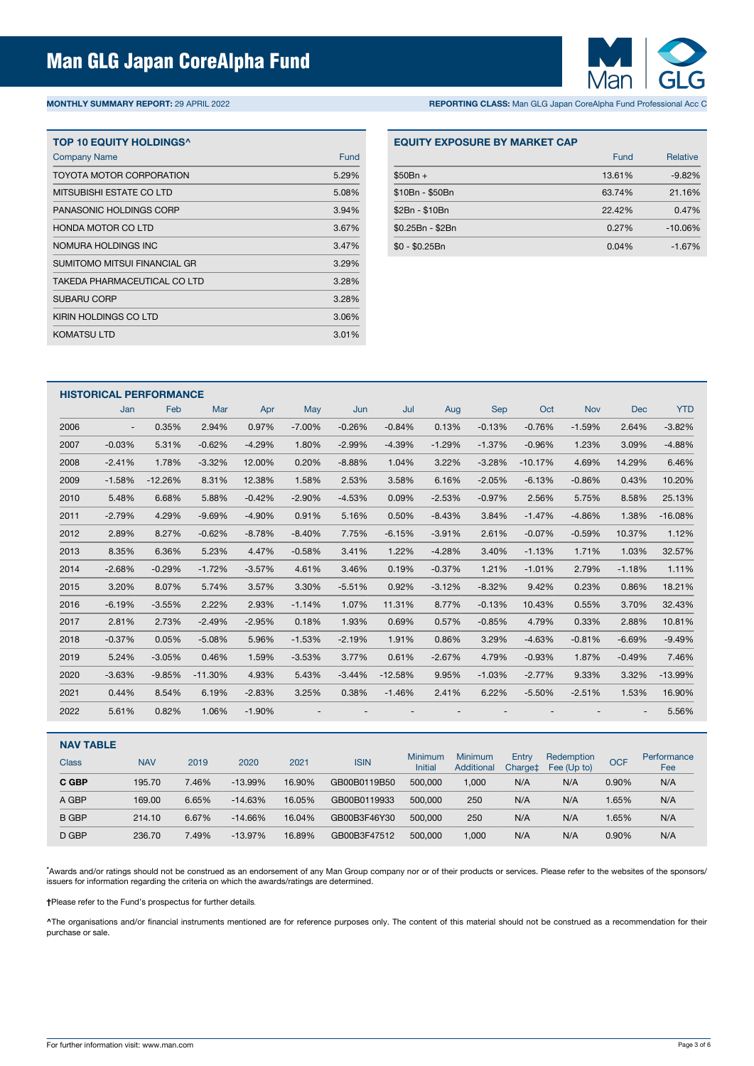

# **MONTHLY SUMMARY REPORT:** 29 APRIL 2022 **REPORTING CLASS:** Man GLG Japan CoreAlpha Fund Professional Acc C

| <b>TOP 10 EQUITY HOLDINGS^</b>      |       |
|-------------------------------------|-------|
| <b>Company Name</b>                 | Fund  |
| TOYOTA MOTOR CORPORATION            | 5.29% |
| MITSUBISHI ESTATE CO LTD            | 5.08% |
| PANASONIC HOLDINGS CORP             | 3.94% |
| <b>HONDA MOTOR CO LTD</b>           | 3.67% |
| NOMURA HOLDINGS INC                 | 3.47% |
| <b>SUMITOMO MITSUI FINANCIAL GR</b> | 3.29% |
| TAKEDA PHARMACEUTICAL CO LTD        | 3.28% |
| <b>SUBARU CORP</b>                  | 3.28% |
| KIRIN HOLDINGS CO LTD               | 3.06% |
| KOMATSU LTD                         | 3.01% |

#### **EQUITY EXPOSURE BY MARKET CAP**

|                  | Fund   | <b>Relative</b> |
|------------------|--------|-----------------|
| $$50Br +$        | 13.61% | $-9.82%$        |
| \$10Bn - \$50Bn  | 63.74% | 21.16%          |
| \$2Bn - \$10Bn   | 22.42% | 0.47%           |
| \$0.25Bn - \$2Bn | 0.27%  | $-10.06%$       |
| $$0 - $0.25Bn$   | 0.04%  | $-1.67%$        |

|      | <b>HISTORICAL PERFORMANCE</b> |           |           |          |                          |          |                          |          |            |           |            |          |            |
|------|-------------------------------|-----------|-----------|----------|--------------------------|----------|--------------------------|----------|------------|-----------|------------|----------|------------|
|      | Jan                           | Feb       | Mar       | Apr      | May                      | Jun      | Jul                      | Aug      | <b>Sep</b> | Oct       | <b>Nov</b> | Dec      | <b>YTD</b> |
| 2006 | $\overline{\phantom{a}}$      | 0.35%     | 2.94%     | 0.97%    | $-7.00%$                 | $-0.26%$ | $-0.84%$                 | 0.13%    | $-0.13%$   | $-0.76%$  | $-1.59%$   | 2.64%    | $-3.82%$   |
| 2007 | $-0.03%$                      | 5.31%     | $-0.62%$  | $-4.29%$ | 1.80%                    | $-2.99%$ | $-4.39%$                 | $-1.29%$ | $-1.37%$   | $-0.96%$  | 1.23%      | 3.09%    | $-4.88%$   |
| 2008 | $-2.41%$                      | 1.78%     | $-3.32%$  | 12.00%   | 0.20%                    | $-8.88%$ | 1.04%                    | 3.22%    | $-3.28%$   | $-10.17%$ | 4.69%      | 14.29%   | 6.46%      |
| 2009 | $-1.58%$                      | $-12.26%$ | 8.31%     | 12.38%   | 1.58%                    | 2.53%    | 3.58%                    | 6.16%    | $-2.05%$   | $-6.13%$  | $-0.86%$   | 0.43%    | 10.20%     |
| 2010 | 5.48%                         | 6.68%     | 5.88%     | $-0.42%$ | $-2.90%$                 | $-4.53%$ | 0.09%                    | $-2.53%$ | $-0.97%$   | 2.56%     | 5.75%      | 8.58%    | 25.13%     |
| 2011 | $-2.79%$                      | 4.29%     | $-9.69%$  | $-4.90%$ | 0.91%                    | 5.16%    | 0.50%                    | $-8.43%$ | 3.84%      | $-1.47%$  | $-4.86%$   | 1.38%    | $-16.08%$  |
| 2012 | 2.89%                         | 8.27%     | $-0.62%$  | $-8.78%$ | $-8.40%$                 | 7.75%    | $-6.15%$                 | $-3.91%$ | 2.61%      | $-0.07%$  | $-0.59%$   | 10.37%   | 1.12%      |
| 2013 | 8.35%                         | 6.36%     | 5.23%     | 4.47%    | $-0.58%$                 | 3.41%    | 1.22%                    | $-4.28%$ | 3.40%      | $-1.13%$  | 1.71%      | 1.03%    | 32.57%     |
| 2014 | $-2.68%$                      | $-0.29%$  | $-1.72%$  | $-3.57%$ | 4.61%                    | 3.46%    | 0.19%                    | $-0.37%$ | 1.21%      | $-1.01%$  | 2.79%      | $-1.18%$ | 1.11%      |
| 2015 | 3.20%                         | 8.07%     | 5.74%     | 3.57%    | 3.30%                    | $-5.51%$ | 0.92%                    | $-3.12%$ | $-8.32%$   | 9.42%     | 0.23%      | 0.86%    | 18.21%     |
| 2016 | $-6.19%$                      | $-3.55%$  | 2.22%     | 2.93%    | $-1.14%$                 | 1.07%    | 11.31%                   | 8.77%    | $-0.13%$   | 10.43%    | 0.55%      | 3.70%    | 32.43%     |
| 2017 | 2.81%                         | 2.73%     | $-2.49%$  | $-2.95%$ | 0.18%                    | 1.93%    | 0.69%                    | 0.57%    | $-0.85%$   | 4.79%     | 0.33%      | 2.88%    | 10.81%     |
| 2018 | $-0.37%$                      | 0.05%     | $-5.08%$  | 5.96%    | $-1.53%$                 | $-2.19%$ | 1.91%                    | 0.86%    | 3.29%      | $-4.63%$  | $-0.81%$   | $-6.69%$ | $-9.49%$   |
| 2019 | 5.24%                         | $-3.05%$  | 0.46%     | 1.59%    | $-3.53%$                 | 3.77%    | 0.61%                    | $-2.67%$ | 4.79%      | $-0.93%$  | 1.87%      | $-0.49%$ | 7.46%      |
| 2020 | $-3.63%$                      | $-9.85%$  | $-11.30%$ | 4.93%    | 5.43%                    | $-3.44%$ | $-12.58%$                | 9.95%    | $-1.03%$   | $-2.77%$  | 9.33%      | 3.32%    | $-13.99%$  |
| 2021 | 0.44%                         | 8.54%     | 6.19%     | $-2.83%$ | 3.25%                    | 0.38%    | $-1.46%$                 | 2.41%    | 6.22%      | $-5.50%$  | $-2.51%$   | 1.53%    | 16.90%     |
| 2022 | 5.61%                         | 0.82%     | 1.06%     | $-1.90%$ | $\overline{\phantom{a}}$ |          | $\overline{\phantom{a}}$ |          |            |           |            |          | 5.56%      |

| <b>NAV TABLE</b> |            |       |           |        |              |                           |                              |                  |                           |            |                    |
|------------------|------------|-------|-----------|--------|--------------|---------------------------|------------------------------|------------------|---------------------------|------------|--------------------|
| Class            | <b>NAV</b> | 2019  | 2020      | 2021   | <b>ISIN</b>  | Minimum<br><b>Initial</b> | <b>Minimum</b><br>Additional | Entry<br>Charge‡ | Redemption<br>Fee (Up to) | <b>OCF</b> | Performance<br>Fee |
| C GBP            | 195.70     | 7.46% | $-13.99%$ | 16.90% | GB00B0119B50 | 500,000                   | 000,                         | N/A              | N/A                       | 0.90%      | N/A                |
| A GBP            | 169.00     | 6.65% | $-14.63%$ | 16.05% | GB00B0119933 | 500,000                   | 250                          | N/A              | N/A                       | 1.65%      | N/A                |
| <b>B GBP</b>     | 214.10     | 6.67% | $-14.66%$ | 16.04% | GB00B3F46Y30 | 500,000                   | 250                          | N/A              | N/A                       | 1.65%      | N/A                |
| D GBP            | 236.70     | 7.49% | $-13.97%$ | 16.89% | GB00B3F47512 | 500.000                   | 000,                         | N/A              | N/A                       | 0.90%      | N/A                |

**\***Awards and/or ratings should not be construed as an endorsement of any Man Group company nor or of their products or services. Please refer to the websites of the sponsors/ issuers for information regarding the criteria on which the awards/ratings are determined.

**†**Please refer to the Fund's prospectus for further details.

**^**The organisations and/or financial instruments mentioned are for reference purposes only. The content of this material should not be construed as a recommendation for their purchase or sale.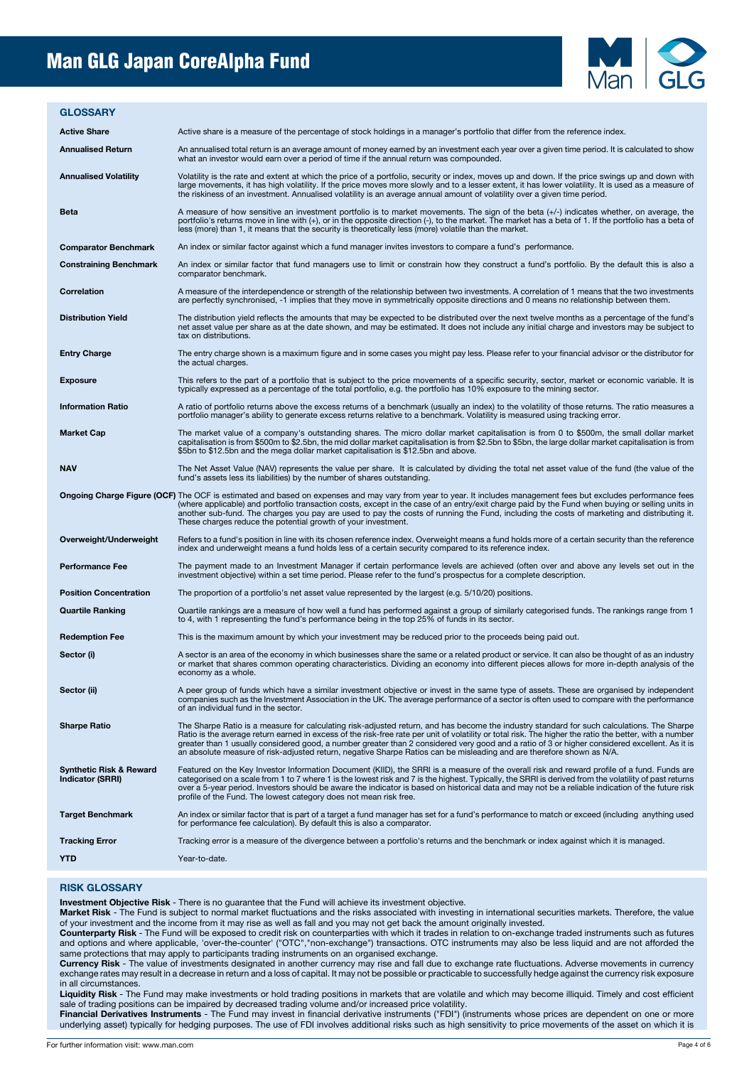# Man GLG Japan CoreAlpha Fund



#### **GLOSSARY**

Active Share **Active share is a measure of the percentage of stock holdings in a manager's portfolio that differ from the reference index.** 

| <b>Annualised Return</b>                    | An annualised total return is an average amount of money earned by an investment each year over a given time period. It is calculated to show<br>what an investor would earn over a period of time if the annual return was compounded.                                                                                                                                                                                                                                                                                                                                          |
|---------------------------------------------|----------------------------------------------------------------------------------------------------------------------------------------------------------------------------------------------------------------------------------------------------------------------------------------------------------------------------------------------------------------------------------------------------------------------------------------------------------------------------------------------------------------------------------------------------------------------------------|
| <b>Annualised Volatility</b>                | Volatility is the rate and extent at which the price of a portfolio, security or index, moves up and down. If the price swings up and down with<br>large movements, it has high volatility. If the price moves more slowly and to a lesser extent, it has lower volatility. It is used as a measure of<br>the riskiness of an investment. Annualised volatility is an average annual amount of volatility over a given time period.                                                                                                                                              |
| Beta                                        | A measure of how sensitive an investment portfolio is to market movements. The sign of the beta $(+/-)$ indicates whether, on average, the<br>portfolio's returns move in line with (+), or in the opposite direction (-), to the market. The market has a beta of 1. If the portfolio has a beta of<br>less (more) than 1, it means that the security is theoretically less (more) volatile than the market.                                                                                                                                                                    |
| <b>Comparator Benchmark</b>                 | An index or similar factor against which a fund manager invites investors to compare a fund's performance.                                                                                                                                                                                                                                                                                                                                                                                                                                                                       |
| <b>Constraining Benchmark</b>               | An index or similar factor that fund managers use to limit or constrain how they construct a fund's portfolio. By the default this is also a<br>comparator benchmark.                                                                                                                                                                                                                                                                                                                                                                                                            |
| Correlation                                 | A measure of the interdependence or strength of the relationship between two investments. A correlation of 1 means that the two investments<br>are perfectly synchronised, -1 implies that they move in symmetrically opposite directions and 0 means no relationship between them.                                                                                                                                                                                                                                                                                              |
| <b>Distribution Yield</b>                   | The distribution yield reflects the amounts that may be expected to be distributed over the next twelve months as a percentage of the fund's<br>net asset value per share as at the date shown, and may be estimated. It does not include any initial charge and investors may be subject to<br>tax on distributions.                                                                                                                                                                                                                                                            |
| <b>Entry Charge</b>                         | The entry charge shown is a maximum figure and in some cases you might pay less. Please refer to your financial advisor or the distributor for<br>the actual charges.                                                                                                                                                                                                                                                                                                                                                                                                            |
| Exposure                                    | This refers to the part of a portfolio that is subject to the price movements of a specific security, sector, market or economic variable. It is<br>typically expressed as a percentage of the total portfolio, e.g. the portfolio has 10% exposure to the mining sector.                                                                                                                                                                                                                                                                                                        |
| <b>Information Ratio</b>                    | A ratio of portfolio returns above the excess returns of a benchmark (usually an index) to the volatility of those returns. The ratio measures a<br>portfolio manager's ability to generate excess returns relative to a benchmark. Volatility is measured using tracking error.                                                                                                                                                                                                                                                                                                 |
| <b>Market Cap</b>                           | The market value of a company's outstanding shares. The micro dollar market capitalisation is from 0 to \$500m, the small dollar market<br>capitalisation is from \$500m to \$2.5bn, the mid dollar market capitalisation is from \$2.5bn to \$5bn, the large dollar market capitalisation is from<br>\$5bn to \$12.5bn and the mega dollar market capitalisation is \$12.5bn and above.                                                                                                                                                                                         |
| <b>NAV</b>                                  | The Net Asset Value (NAV) represents the value per share. It is calculated by dividing the total net asset value of the fund (the value of the<br>fund's assets less its liabilities) by the number of shares outstanding.                                                                                                                                                                                                                                                                                                                                                       |
|                                             | Ongoing Charge Figure (OCF) The OCF is estimated and based on expenses and may vary from year to year. It includes management fees but excludes performance fees<br>(where applicable) and portfolio transaction costs, except in the case of an entry/exit charge paid by the Fund when buying or selling units in<br>another sub-fund. The charges you pay are used to pay the costs of running the Fund, including the costs of marketing and distributing it.<br>These charges reduce the potential growth of your investment.                                               |
| Overweight/Underweight                      | Refers to a fund's position in line with its chosen reference index. Overweight means a fund holds more of a certain security than the reference<br>index and underweight means a fund holds less of a certain security compared to its reference index.                                                                                                                                                                                                                                                                                                                         |
| Performance Fee                             | The payment made to an Investment Manager if certain performance levels are achieved (often over and above any levels set out in the<br>investment objective) within a set time period. Please refer to the fund's prospectus for a complete description.                                                                                                                                                                                                                                                                                                                        |
| <b>Position Concentration</b>               | The proportion of a portfolio's net asset value represented by the largest (e.g. 5/10/20) positions.                                                                                                                                                                                                                                                                                                                                                                                                                                                                             |
| <b>Quartile Ranking</b>                     | Quartile rankings are a measure of how well a fund has performed against a group of similarly categorised funds. The rankings range from 1<br>to 4, with 1 representing the fund's performance being in the top 25% of funds in its sector.                                                                                                                                                                                                                                                                                                                                      |
| <b>Redemption Fee</b>                       | This is the maximum amount by which your investment may be reduced prior to the proceeds being paid out.                                                                                                                                                                                                                                                                                                                                                                                                                                                                         |
| Sector (i)                                  | A sector is an area of the economy in which businesses share the same or a related product or service. It can also be thought of as an industry<br>or market that shares common operating characteristics. Dividing an economy into different pieces allows for more in-depth analysis of the<br>economy as a whole.                                                                                                                                                                                                                                                             |
| Sector (ii)                                 | A peer group of funds which have a similar investment objective or invest in the same type of assets. These are organised by independent<br>companies such as the Investment Association in the UK. The average performance of a sector is often used to compare with the performance<br>or an individual fund in the sector.                                                                                                                                                                                                                                                    |
| <b>Sharpe Ratio</b>                         | The Sharpe Ratio is a measure for calculating risk-adjusted return, and has become the industry standard for such calculations. The Sharpe<br>Ratio is the average return earned in excess of the risk-free rate per unit of volatility or total risk. The higher the ratio the better, with a number<br>greater than 1 usually considered good, a number greater than 2 considered very good and a ratio of 3 or higher considered excellent. As it is<br>an absolute measure of risk-adjusted return, negative Sharpe Ratios can be misleading and are therefore shown as N/A. |
| Synthetic Risk & Reward<br>Indicator (SRRI) | Featured on the Key Investor Information Document (KIID), the SRRI is a measure of the overall risk and reward profile of a fund. Funds are<br>categorised on a scale from 1 to 7 where 1 is the lowest risk and 7 is the highest. Typically, the SRRI is derived from the volatility of past returns<br>over a 5-year period. Investors should be aware the indicator is based on historical data and may not be a reliable indication of the future risk<br>profile of the Fund. The lowest category does not mean risk free.                                                  |
| <b>Target Benchmark</b>                     | An index or similar factor that is part of a target a fund manager has set for a fund's performance to match or exceed (including anything used<br>for performance fee calculation). By default this is also a comparator.                                                                                                                                                                                                                                                                                                                                                       |
| <b>Tracking Error</b>                       | Tracking error is a measure of the divergence between a portfolio's returns and the benchmark or index against which it is managed.                                                                                                                                                                                                                                                                                                                                                                                                                                              |
| YTD                                         | Year-to-date.                                                                                                                                                                                                                                                                                                                                                                                                                                                                                                                                                                    |
|                                             |                                                                                                                                                                                                                                                                                                                                                                                                                                                                                                                                                                                  |

#### **RISK GLOSSARY**

**Investment Objective Risk** - There is no guarantee that the Fund will achieve its investment objective.

**Market Risk** - The Fund is subject to normal market fluctuations and the risks associated with investing in international securities markets. Therefore, the value of your investment and the income from it may rise as well as fall and you may not get back the amount originally invested.

**Counterparty Risk** - The Fund will be exposed to credit risk on counterparties with which it trades in relation to on-exchange traded instruments such as futures and options and where applicable, 'over-the-counter' ("OTC","non-exchange") transactions. OTC instruments may also be less liquid and are not afforded the same protections that may apply to participants trading instruments on an organised exchange.

**Currency Risk** - The value of investments designated in another currency may rise and fall due to exchange rate fluctuations. Adverse movements in currency exchange rates may result in a decrease in return and a loss of capital. It may not be possible or practicable to successfully hedge against the currency risk exposure in all circumstances.

**Liquidity Risk** - The Fund may make investments or hold trading positions in markets that are volatile and which may become illiquid. Timely and cost efficient sale of trading positions can be impaired by decreased trading volume and/or increased price volatility.

**Financial Derivatives Instruments** - The Fund may invest in financial derivative instruments ("FDI") (instruments whose prices are dependent on one or more underlying asset) typically for hedging purposes. The use of FDI involves additional risks such as high sensitivity to price movements of the asset on which it is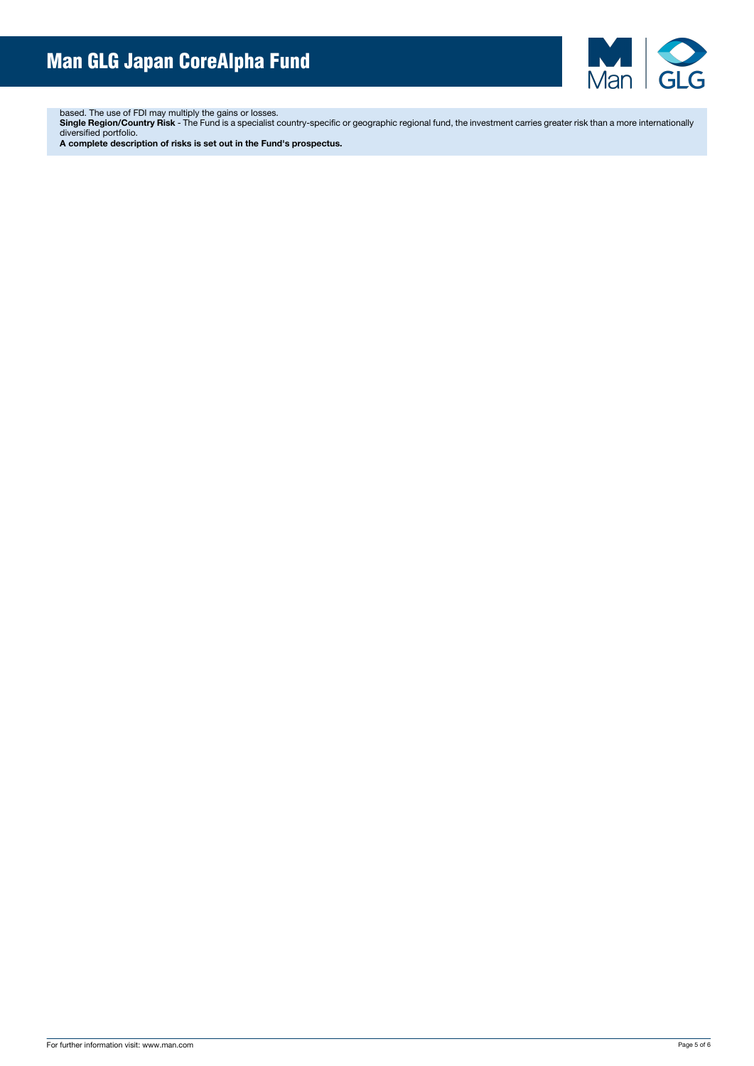

based. The use of FDI may multiply the gains or losses.

**Single Region/Country Risk** - The Fund is a specialist country-specific or geographic regional fund, the investment carries greater risk than a more internationally diversified portfolio.

**A complete description of risks is set out in the Fund's prospectus.**